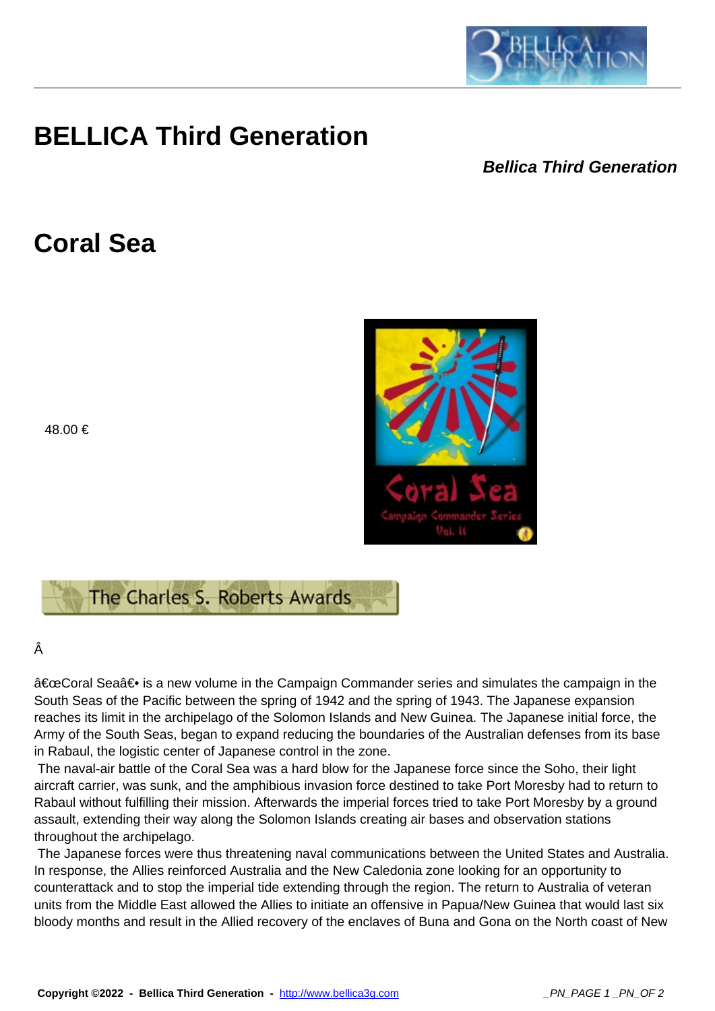

## **BELLICA Third Generation**

## **Bellica Third Generation**

## **Coral Sea**

48.00 €



## Â

"Coral Sea― is a new volume in the Campaign Commander series and simulates the campaign in the South Seas of the Pacific between the spring of 1942 and the spring of 1943. The Japanese expansion reaches its limit in the archipelago of the Solomon Islands and New Guinea. The Japanese initial force, the Army of the South Seas, began to expand reducing the boundaries of the Australian defenses from its base in Rabaul, the logistic center of Japanese control in the zone.

 The naval-air battle of the Coral Sea was a hard blow for the Japanese force since the Soho, their light aircraft carrier, was sunk, and the amphibious invasion force destined to take Port Moresby had to return to Rabaul without fulfilling their mission. Afterwards the imperial forces tried to take Port Moresby by a ground assault, extending their way along the Solomon Islands creating air bases and observation stations throughout the archipelago.

 The Japanese forces were thus threatening naval communications between the United States and Australia. In response, the Allies reinforced Australia and the New Caledonia zone looking for an opportunity to counterattack and to stop the imperial tide extending through the region. The return to Australia of veteran units from the Middle East allowed the Allies to initiate an offensive in Papua/New Guinea that would last six bloody months and result in the Allied recovery of the enclaves of Buna and Gona on the North coast of New